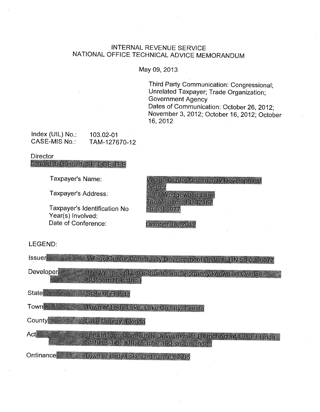# INTERNAL REVENUE SERVICE NATIONAL OFFICE TECHNICAL ADVICE MEMORANDUM

May 09, 2013

Third Party Communication: Congressional; Unrelated Taxpayer; Trade Organization; Government Agency Oates of Communication: October 26, 2012; November 3, 2012; October 16, 2012; October 16,2012

Index (UIL) No.: 103.02-01<br>CASE-MIS No.: TAM-1276 TAM-127670-12

**Director** 

**Clifford J Gannett SETTGETEB** 

Taxpayer's Name:

Taxpayer's Address:

Taxpayer's Identification No Year(s) Involved: Date of Conference:

**Village Center Community Development** District 3201 Wedgewood Lane The Villages, FL 32162 59-0366077

October 18, 2012

#### LEGEND:

Issuer **Manual Access of Mulage Center Community Development District, TIN 59-0366077** The Villages of Lake-Sumter, Inc. (formerly known as Orange Developer Blossom Hills, Inc.) **State** State of Florida Town **The Company** Town of Lady Lake, Lake County, Florida County **Executive County, Florida** The Uniform Community Development District Act of 1980, Florida Act **Manu** Statutes Title XIII, chapter 190, as amended Ordinance = Electrown of Lady Lake Ordinance 92-06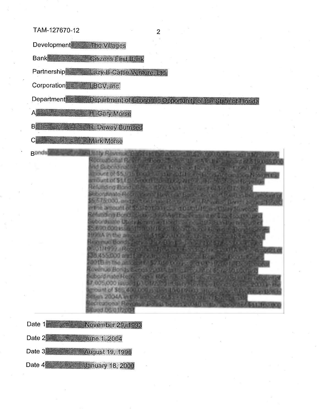Development= The Villages

Bank **Western Citizens First Bank** 

Partnership = Lazy-B-Cattle Venture, Ltd.

Corporation = LBCV Inc

Department = Department of Economic Opportunity of the State of Florida

A **EXECUTE:** H. Gary Morse

**B** R. Dewey Burnsed

Comparison Mark Morse

**Ronds** Jollay Revenue: Bond Charlos education 65 SPA, One Draws Redroad donal Resignate Time P. Series, 1990 A.M. Les annoyador & Lynn, & and Subondinate Editors a long Resource Board Lawren House in Lin autopurte of \$5,6115 (vici) - Europe F. 010 (Philip - Bignal, alt retired and Note In Line Brinoland of \$111 3 . Second 1 - Jan 1947 7 . 1990 . The step form in Edmond Refunding Bland's Series, 199 24 to The an worm of Smith 73, 000 Subject that's Report I for all the struct from the Sentime Third Pro The Lan to 575 000, and 3 month are Pearcy that the same Band. Server 1star in the amount of SE 350 time you are Out of Menor U Say Research Refunding Bond's Gener - Advisement be animally of U.25 data non-and subordinate Upley Rights trianglated - Series 1993, 3 million animal part 5.690.000 Issued TO ON NOOR IT entrances for more Boards PRIA in the aimbuilterhand can multiplied to the result. Revert is Boon's 3 says. If the Blooding and an information of **DE O M COURT RECORD DE LA FINE DE LA BURBIA DE LA DIFFERENCIA DE** Grusslit 1 34,455000 and \$400 (1987) Fourth ideal that for the Series and 001Bim the ambung of 52.150 crosses had 00% 17-400 Ex-Lewemuc Bonds Cerins, Journalism Chairman and Service of the ansubordinate Meurea and Mayorde Bonds Sedes minist Land Szenius odlu is smake od a trzeling, ta tray is a vez am lâ nadig Saring amount of \$56.600,000 essan fill fro franca. Record and always 2004 A lin the area of leaf that is the month and the own Hman Abere a fionial It evening Evenils, series, June Leer and **Eurod 06.01/2001** 

Date  $1$   $\equiv$  November 29, 1993

Date 2 3 3une 1, 2004

Date 3 2 2 August 19, 1996

Date 4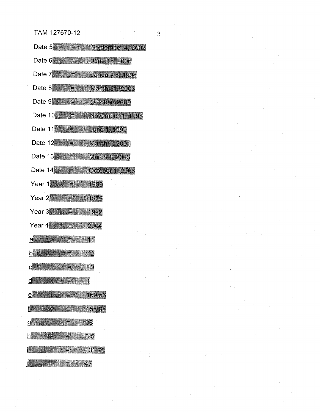| Date 5 = = September 4, 2002                                            |
|-------------------------------------------------------------------------|
| Date 6 $\frac{1}{2}$ = $\frac{1}{2}$ June 15, 2006                      |
| Date 7 <b>Manual Street January 6, 1998</b>                             |
| Date 8 2003 E 2016, March 31, 2003                                      |
| Date 9 - Frank October, 2000                                            |
| Date $10 \div 7 = 10$ November 1, 1998                                  |
| Date 11 200 200 June 1, 1999                                            |
| Date 12 = = March 1, 2001                                               |
| Date 13 $\geq$ March 1, 2003                                            |
| Date $14$ $\equiv$ $\sim$ October 1, 2003                               |
| Year 1 $\approx$ $\approx$ 1959                                         |
| Year 2 <del>2 2 2 3 4972</del>                                          |
| Year 3 $\approx$ $\approx$ 1992                                         |
| Year 4 2004                                                             |
| $a = \frac{1}{2}$ and $\frac{1}{2}$ and $\frac{1}{2}$ and $\frac{1}{2}$ |
| <b>12</b>                                                               |
| 10                                                                      |
| $d$ , and $d$                                                           |
| 169.56                                                                  |
| 155.85                                                                  |
|                                                                         |
|                                                                         |
|                                                                         |
| 47                                                                      |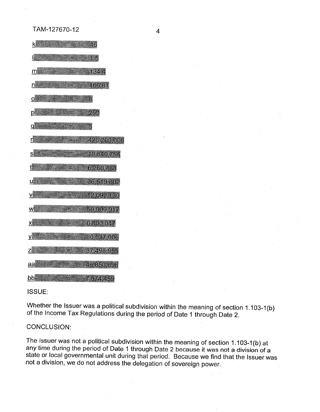$k = 46$  $\mathbb{R}^n$  , where  $\mathbb{R}^n$  is the  $\mathbb{R}^n$  $m$ 1344 niji  $= 166.81$  $O$ ៈ ស p 250  $\mathsf{q}$  $= 426, 200, 000$ S 19,840.754 t  $6.260.488$ **U SERVICE** 36,519,802  $= 12.092,130$ V爨 W▓  $= 59,909,917$  $= 6.800.047$  $X = \mathbb{R}$  $V = \frac{1}{2}$  $= 80.837.006$  $Z$  $=$  37,498,955  $aa$ 46,850,696 原料 三氯化 bb  $7.874.459$ 

#### ISSUE:

Whether the Issuer was a political subdivision within the meaning of section 1.103-1(b) of the Income Tax Regulations during the period of Date 1 through Date 2.

#### CONCLUSION:

The Issuer was not a political subdivision within the meaning of section 1. 103-1 (b) at any time during the period of Date 1 through Date 2 because it was not a division of a state or local governmental unit during that period. Because we find that the Issuer was not a division, we do not address the delegation of sovereign power.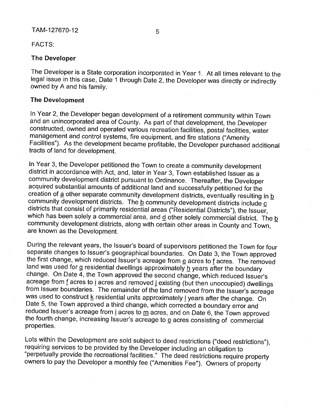#### FACTS:

#### **The Developer**

The Developer is a State corporation incorporated in Year 1. At all times relevant to the legal issue in this case, Date 1 through Date 2, the Developer was directly or indirectly owned by A and his family.

#### **The Development**

In Year 2, the Developer began development of a retirement community within Town and an unincorporated area of County. As part of that development, the Developer constructed, owned and operated various recreation facilities, postal facilities, water management and control systems, fire equipment, and fire stations ("Amenity Facilities"). As the development became profitable, the Developer purchased additional tracts of land for development.

ln Year 3, the Developer petitioned the Town to create a community development district in accordance with Act, and, later in Year 3, Town established Issuer as a community development district pursuant to Ordinance. Thereafter, the Developer acquired substantial amounts of additional land and successfully petitioned for the creation of a other separate community development districts, eventually resulting in b community development districts. The **b** community development districts include **c** districts that consist of primarily residential areas ("Residential Districts"), the Issuer, which has been solely a commercial area, and  $\underline{d}$  other solely commercial district. The b community development districts, along with certain other areas in County and Town, are known as the Development.

During the relevant years, the Issuer's board of supervisors petitioned the Town for four separate changes to Issuer's geographical boundaries. On Date 3, the Town approved the first change, which reduced Issuer's acreage from  $e$  acres to f acres. The removed land was used for g residential dwellings approximately  $\underline{h}$  years after the boundary change. On Date  $\overline{4}$ , the Town approved the second change, which reduced Issuer's acreage from f acres to i acres and removed j existing (but then unoccupied) dwellings from Issuer boundaries. The remainder of the land removed from the Issuer's acreage was used to construct  $\underline{k}$  residential units approximately  $\underline{l}$  years after the change. On Date 5, the Town approved a third change, which corrected a boundary error and reduced Issuer's acreage from *i* acres to m acres, and on Date 6, the Town approved the fourth change, increasing Issuer's acreage to  $\Omega$  acres consisting of commercial properties.

Lots within the Development are sold subject to deed restrictions ("deed restrictions"), requiring services to be provided by the Developer including an obligation to "perpetually provide the recreational facilities." The deed restrictions require property owners to pay the Developer a monthly fee ("Amenities Fee"). Owners of property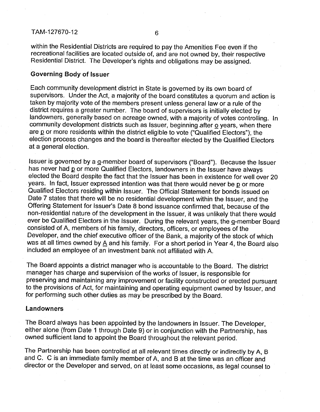within the Residential Districts are required to pay the Amenities Fee even if the recreational facilities are located outside of, and are not owned by, their respective Residential District. The Developer's rights and obligations may be assigned.

#### Governing Body of Issuer

Each community development district in State is governed by its own board of supervisors. Under the Act, a majority of the board constitutes a quorum and action is taken by majority vote of the members present unless general law or a rule of the district requires a greater number. The board of supervisors is initially elected by landowners, generally based on acreage owned, with a majority of votes controlling. In community development districts such as Issuer, beginning after  $\Omega$  years, when there are p or more residents within the district eligible to vote ("Qualified Electors"), the election process changes and the board is thereafter elected by the Qualified Electors at a general election.

Issuer is governed by a g-member board of supervisors ("Board"). Because the Issuer has never had p or more Qualified Electors, landowners in the Issuer have always elected the Board despite the fact that the Issuer has been in existence for well over 20 years. In fact, Issuer expressed intention was that there would never be p or more Qualified Electors residing within Issuer. The Official Statement for bonds issued on Date 7 states that there will be no residential development within the Issuer, and the Offering Statement for Issuer's Date 8 bond issuance confirmed that, because of the non-residential nature of the development in the Issuer, it was unlikely that there would ever be Qualified Electors in the Issuer. During the relevant years, the g-member Board consisted of A, members of his family, directors, officers, or employees of the Developer, and the chief executive officer of the Bank, a majority of the stock of which was at all times owned by  $\underline{A}$  and his family. For a short period in Year 4, the Board also included an employee of an investment bank not affiliated with A.

The Board appoints a district manager who is accountable to the Board. The district manager has charge and supervision of the works of Issuer, is responsible for preserving and maintaining any improvement or facility constructed or erected pursuant to the provisions of Act, for maintaining and operating equipment owned by Issuer, and for performing such other duties as may be prescribed by the Board.

#### Landowners

The Board always has been appointed by the landowners in Issuer. The Developer, either alone (from Date 1 through Date 9) or in conjunction with the Partnership, has owned sufficient land to appoint the Board throughout the relevant period.

The Partnership has been controlled at all relevant times directly or indirectly by A, B and C. C is an immediate family member of A, and B at the time was an officer and director or the Developer and served, on at least some occasions, as legal counsel to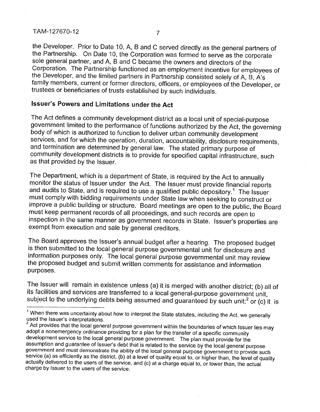the Developer. Prior to Date 10, A, B and C served directly as the general partners of the Partnership. On Date 10, the Corporation was formed to serve as the corporate sole general partner, and A, B and C became the owners and directors of the Corporation. The Partnership functioned as an employment incentive for employees of the Developer, and the limited partners in Partnership consisted solely of A, B, A's family members, current or former directors, officers, or employees of the Developer, or trustees or beneficiaries of trusts established by such individuals.

# **Issuer's Powers and Limitations under the Act**

The Act defines a community development district as a local unit of special-purpose government limited to the performance of functions authorized by the Act, the governing body of which is authorized to function to deliver urban community development services, and for which the operation, duration, accountability, disclosure requirements, and termination are determined by general law. The stated primary purpose of community development districts is to provide for specified capital infrastructure, such as that provided by the Issuer.

The Department, which is a department of State, is required by the Act to annually monitor the status of Issuer under the Act. The Issuer must provide financial reports and audits to State, and is required to use a qualified public depository.<sup>1</sup> The Issuer must comply with bidding requirements under State law when seeking to construct or improve a public building or structure. Board meetings are open to the public, the Board must keep permanent records of all proceedings, and such records are open to inspection in the same manner as government records in State. Issuer's properties are exempt from execution and sale by general creditors.

The Board approves the Issuer's annual budget after a hearing. The proposed budget is then submitted to the local general purpose governmental unit for disclosure and information purposes only. The local general purpose governmental unit may review the proposed budget and submit written comments for assistance and information purposes.

The Issuer will remain in existence unless (a) it is merged with another district; (b) all of its facilities and services are transferred to a local general-purpose government unit, subject to the underlying debts being assumed and guaranteed by such unit;<sup>2</sup> or (c) it is

<sup>&</sup>lt;sup>1</sup> When there was uncertainty about how to interpret the State statutes, including the Act, we generally used the Issuer's interpretations.

 $^2$  Act provides that the local general purpose government within the boundaries of which Issuer lies may adopt a nonemergency ordinance providing for a plan for the transfer of a specific community development service to the local general purpose government. The plan must provide for the assumption and guarantee of Issuer's debt that is related to the service by the local general purpose government and must demonstrate the ability of the local general purpose government to provide such service (a) as efficiently as the district, (b) at a level of quality equal to, or higher than, the level of quality actually delivered to the users of the service, and (c) at a charge equal to, or lower than, the actual charge by Issuer to the users of the service.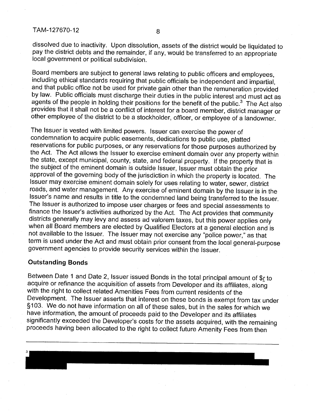dissolved due to inactivity. Upon dissolution, assets of the district would be liquidated to pay the district debts and the remainder, if any, would be transferred to an appropriate local government or political subdivision.

Board members are subject to general laws relating to public officers and employees, including ethical standards requiring that public officials be independent and impartial, and that public office not be used for private gain other than the remuneration provided by law. Public officials must discharge their duties in the public interest and must act as agents of the people in holding their positions for the benefit of the public. $3$  The Act also provides that it shall not be a conflict of interest for a board member, district manager or other employee of the district to be a stockholder, officer, or employee of a landowner.

The Issuer is vested with limited powers. Issuer can exercise the power of condemnation to acquire public easements, dedications to public use, platted reservations for public purposes, or any reservations for those purposes authorized by the Act. The Act allows the Issuer to exercise eminent domain over any property within the state, except municipal, county, state, and federal property. If the property that is the subject of the eminent domain is outside Issuer, Issuer must obtain the prior approval of the governing body of the jurisdiction in which the property is located. The Issuer may exercise eminent domain solely for uses relating to water, sewer, district roads, and water management. Any exercise of eminent domain by the Issuer is in the Issuer's name and results in title to the condemned land being transferred to the Issuer. The Issuer is authorized to impose user charges or fees and special assessments to finance the Issuer's activities authorized by the Act. The Act provides that community districts generally may levy and assess ad valorem taxes, but this power applies only when all Board members are elected by Qualified Electors at a general election and is not available to the Issuer. The Issuer may not exercise any "police power," as that term is used under the Act and must obtain prior consent from the local general-purpose government agencies to provide security services within the Issuer.

# **Outstanding Bonds**

Between Date 1 and Date 2, Issuer issued Bonds in the total principal amount of  $\oint$  to acquire or refinance the acquisition of assets from Developer and its affiliates, along with the right to collect related Amenities Fees from current residents of the Development. The Issuer asserts that interest on these bonds is exempt from tax under § 103. We do not have information on all of these sales, but in the sales for which we have information, the amount of proceeds paid to the Developer and its affiliates significantly exceeded the Developer's costs for the assets acquired, with the remaining proceeds having been allocated to the right to collect future Amenity Fees from then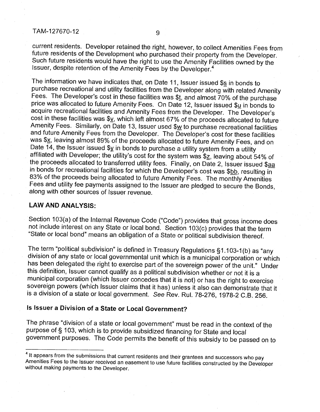current residents. Developer retained the right, however, to collect Amenities Fees from future residents of the Development who purchased their property from the Developer. Such future residents would have the right to use the Amenity Facilities owned by the Issuer, despite retention of the Amenity Fees by the Developer.<sup>4</sup>

The information we have indicates that, on Date 11, Issuer issued  $\frac{c}{2}$  in bonds to purchase recreational and utility facilities from the Developer along with related Amenity Fees. The Developer's cost in these facilities was  $$t$ , and almost  $70\%$  of the purchase price was allocated to future Amenity Fees. On Date 12, Issuer issued  $\frac{\mathcal{L}}{2}$  in bonds to acquire recreational facilities and Amenity Fees from the Developer. The Developer's cost in these facilities was \$v, which left almost 67% of the proceeds allocated to future Amenity Fees. Similarly, on Date 13, Issuer used \$w to purchase recreational facilities and future Amenity Fees from the Developer. The Developer's cost for these facilities was \$x, leaving almost 89% of the proceeds allocated to future Amenity Fees, and on Date 14, the Issuer issued  $y$  in bonds to purchase a utility system from a utility affiliated with Developer; the utility's cost for the system was \$ $z$ , leaving about 54% of the proceeds allocated to transferred utility fees. Finally, on Date 2, Issuer issued \$aa in bonds for recreational facilities for which the Developer's cost was \$bb, resulting in 83% of the proceeds being allocated to future Amenity Fees. The monthly Amenities Fees and utility fee payments assigned to the Issuer are pledged to secure the Bonds, along with other sources of Issuer revenue.

#### **LAW AND ANALYSIS:**

Section 103(a) of the Internal Revenue Code ("Code") provides that gross income does not include interest on any State or local bond. Section 103(c) provides that the term "State or local bond" means an obligation of a State or political subdivision thereof.

The term "political subdivision" is defined in Treasury Regulations §1.103-1 (b) as "any division of any state or local governmental unit which is a municipal corporation or which has been delegated the right to exercise part of the sovereign power of the unit." Under this definition, Issuer cannot qualify as a political subdivision whether or not it is a municipal corporation (which Issuer concedes that it is not) or has the right to exercise sovereign powers (which Issuer claims that it has) unless it also can demonstrate that it is a division of a state or local government. See Rev. Rul. 78-276, 1978-2 C.B. 256.

# **Is Issuer a Division of a State or Local Government?**

The phrase "division of a state or local government" must be read in the context of the purpose of § 103, which is to provide subsidized financing for State and local government purposes. The Code permits the benefit of this subsidy to be passed on to

 $<sup>4</sup>$  It appears from the submissions that current residents and their grantees and successors who pay</sup> Amenities Fees to the Issuer received an easement to use future facilities constructed by the Developer without making payments to the Developer.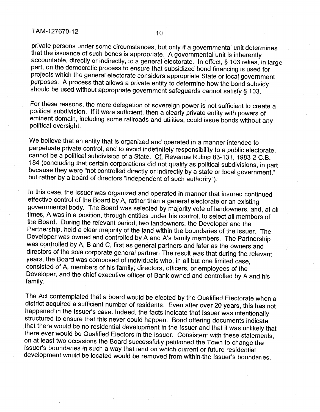private persons under some circumstances, but only if a governmental unit determines that the issuance of such bonds is appropriate. A governmental unit is inherently accountable, directly or indirectly, to a general electorate. In effect, § 103 relies, in large part, on the democratic process to ensure that subsidized bond financing is used for projects which the general electorate considers appropriate State or local government purposes. A process that allows a private entity to determine how the bond subsidy should be used without appropriate government safeguards cannot satisfy § 103.

For these reasons, the mere delegation of sovereign power is not sufficient to create a political subdivision. If it were sufficient, then a clearly private entity with powers of eminent domain, including some railroads and utilities, could issue bonds without any political oversight.

We believe that an entity that is organized and operated in a manner intended to perpetuate private control, and to avoid indefinitely responsibility to a public electorate, cannot be a political subdivision of a State. Cf. Revenue Ruling 83~131, 1983-2 C.B. 184 (concluding that certain corporations did not qualify as political subdivisions, in part because they were "not controlled directly or indirectly by a state or local government," but rather by a board of directors "independent of such authority").

In this case, the Issuer was organized and operated in manner that insured continued effective control of the Board by A, rather than a general electorate or an existing governmental body. The Board was selected by majority vote of landowners, and, at all times, Awas in a position, through entities under his control, to select all members of the Board. During the relevant period, two landowners, the Developer and the Partnership, held a clear majority of the land within the boundaries of the Issuer. The Developer was owned and controlled by A and A's family members. The Partnership was controlled by A, B and C, first as general partners and later as the owners and directors of the sole corporate general partner. The result was that during the relevant years, the Board was composed of individuals who, in all but one limited case, consisted of A, members of his family, directors, officers, or employees of the Developer, and the chief executive officer of Bank owned and controlled by A and his family.

The Act contemplated that a board would be elected by the Qualified Electorate when a district acquired a sufficient number of residents. Even after over 20 years, this has not happened in the Issuer's case. Indeed, the facts indicate that Issuer was intentionally structured to ensure that this never could happen. Bond offering documents indicate that there would be no residential development in the Issuer and that it was unlikely that there ever would be Qualified Electors in the Issuer. Consistent with these statements, on at least two occasions the Board successfully petitioned the Town to change the Issuer's boundaries in such a way that land on which current or future residential development would be located would be removed from within the Issuer's boundaries.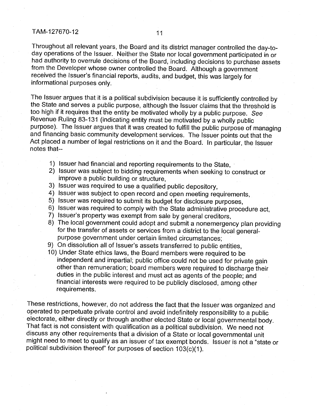Throughout all relevant years, the Board and its district manager controlled the day-today operations of the Issuer. Neither the State nor local government participated in or had authority to overrule decisions of the Board, including decisions to purchase assets from the Developer whose owner controlled the Board. Although a government received the Issuer's financial reports, audits, and budget, this was largely for informational purposes only.

The Issuer argues that it is a political subdivision because it is sufficiently controlled by the State and serves a public purpose, although the Issuer claims that the threshold is too high if it requires that the entity be motivated wholly by a public purpose. See Revenue Ruling 83-131 (indicating entity must be motivated by a wholly public purpose). The Issuer argues that it was created to fulfill the public purpose of managing and financing basic community development services. The Issuer points out that the Act placed a number of legal restrictions on it and the Board. In particular, the Issuer notes that--

- 1) Issuer had financial and reporting requirements to the State, ·
- 2) Issuer was subject to bidding requirements when seeking to construct or improve a public building or structure,
- 3) Issuer was required to use a qualified public depository,
- 4) Issuer was subject to open record and open meeting requirements,
- 5) Issuer was required to submit its budget for disclosure purposes,
- 6) Issuer was required to comply with the State administrative procedure act,
- 7) Issuer's property was exempt from sale by general creditors,
- 8) The local government could adopt and submit a nonemergency plan providing for the transfer of assets or services from a district to the local generalpurpose government under certain limited circumstances;
- 9) On dissolution all of Issuer's assets transferred to public entities,
- 10) Under State ethics laws, the Board members were required to be independent and impartial; public office could not be used for private gain other than remuneration; board members were required to discharge their duties in the public interest and must act as agents of the people; and financial interests were required to be publicly disclosed, among other requirements.

These restrictions, however, do not address the fact that the Issuer was organized and operated to perpetuate private control and avoid indefinitely responsibility to a public electorate, either directly or through another elected State or local governmental body. That fact is not consistent with qualification as a political subdivision. We need not discuss any other requirements that a division of a State or local governmental unit might need to meet to qualify as an issuer of tax exempt bonds. Issuer is not a "state or political subdivision thereof' for purposes of section 103(c)(1 ).